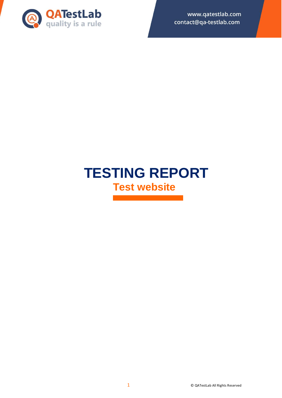

www.qatestlab.com contact@qa-testlab.com

# **TESTING REPORT Test website**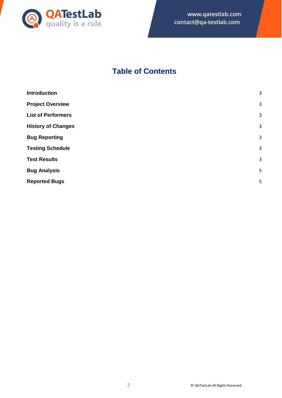

## **Table of Contents**

| <b>Introduction</b>       | 3 |
|---------------------------|---|
| <b>Project Overview</b>   | 3 |
| <b>List of Performers</b> | 3 |
| <b>History of Changes</b> | 3 |
| <b>Bug Reporting</b>      | 3 |
| <b>Testing Schedule</b>   | 3 |
| <b>Test Results</b>       | 3 |
| <b>Bug Analysis</b>       | 5 |
| <b>Reported Bugs</b>      | 5 |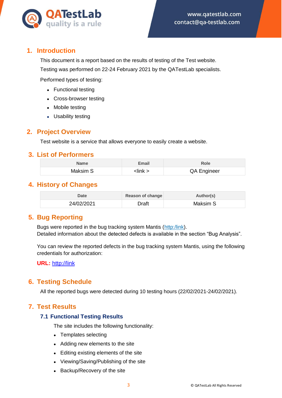

## <span id="page-2-0"></span>**1. Introduction**

This document is a report based on the results of testing of the Test website. Testing was performed on 22-24 February 2021 by the QATestLab specialists.

Performed types of testing:

- Functional testing
- Cross-browser testing
- Mobile testing
- Usability testing

## <span id="page-2-1"></span>**2. Project Overview**

Test website is a service that allows everyone to easily create a website.

#### <span id="page-2-2"></span>**3. List of Performers**

| Name     | Email                | Role        |
|----------|----------------------|-------------|
| Maksim S | $\cdot$ link $\cdot$ | QA Engineer |

## <span id="page-2-3"></span>**4. History of Changes**

| <b>Date</b> | Reason of change | Author(s) |
|-------------|------------------|-----------|
| 24/02/2021  | Draft            | Maksim S  |

## <span id="page-2-4"></span>**5. Bug Reporting**

Bugs were reported in the bug tracking system Mantis (http:/link). Detailed information about the detected defects is available in the section "Bug Analysis".

You can review the reported defects in the bug tracking system Mantis, using the following credentials for authorization:

**URL:** http://link

## <span id="page-2-5"></span>**6. Testing Schedule**

All the reported bugs were detected during 10 testing hours (22/02/2021-24/02/2021).

## <span id="page-2-6"></span>**7. Test Results**

#### **7.1 Functional Testing Results**

The site includes the following functionality:

- Templates selecting
- Adding new elements to the site
- Editing existing elements of the site
- Viewing/Saving/Publishing of the site
- Backup/Recovery of the site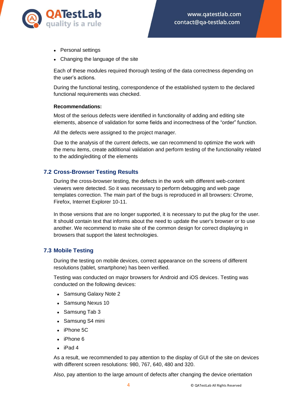

- Personal settings
- Changing the language of the site

Each of these modules required thorough testing of the data correctness depending on the user's actions.

During the functional testing, correspondence of the established system to the declared functional requirements was checked.

#### **Recommendations:**

Most of the serious defects were identified in functionality of adding and editing site elements, absence of validation for some fields and incorrectness of the "order" function.

All the defects were assigned to the project manager.

Due to the analysis of the current defects, we can recommend to optimize the work with the menu items, create additional validation and perform testing of the functionality related to the adding/editing of the elements

#### **7.2 Cross-Browser Testing Results**

During the cross-browser testing, the defects in the work with different web-content viewers were detected. So it was necessary to perform debugging and web page templates correction. The main part of the bugs is reproduced in all browsers: Chrome, Firefox, Internet Explorer 10-11.

In those versions that are no longer supported, it is necessary to put the plug for the user. It should contain text that informs about the need to update the user's browser or to use another. We recommend to make site of the common design for correct displaying in browsers that support the latest technologies.

#### **7.3 Mobile Testing**

During the testing on mobile devices, correct appearance on the screens of different resolutions (tablet, smartphone) has been verified.

Testing was conducted on major browsers for Android and iOS devices. Testing was conducted on the following devices:

- Samsung Galaxy Note 2
- Samsung Nexus 10
- Samsung Tab 3
- Samsung S4 mini
- $\bullet$  iPhone 5C
- $\bullet$  iPhone 6
- $\bullet$  iPad 4

As a result, we recommended to pay attention to the display of GUI of the site on devices with different screen resolutions: 980, 767, 640, 480 and 320.

Also, pay attention to the large amount of defects after changing the device orientation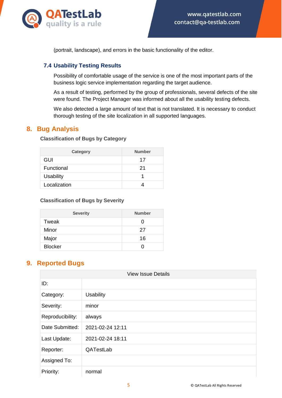

(portrait, landscape), and errors in the basic functionality of the editor.

#### **7.4 Usability Testing Results**

Possibility of comfortable usage of the service is one of the most important parts of the business logic service implementation regarding the target audience.

As a result of testing, performed by the group of professionals, several defects of the site were found. The Project Manager was informed about all the usability testing defects.

We also detected a large amount of text that is not translated. It is necessary to conduct thorough testing of the site localization in all supported languages.

## <span id="page-4-0"></span>**8. Bug Analysis**

#### **Classification of Bugs by Category**

| Category         | <b>Number</b> |
|------------------|---------------|
| GUI              | 17            |
| Functional       | 21            |
| <b>Usability</b> | 1             |
| Localization     |               |

#### **Classification of Bugs by Severity**

| <b>Severity</b> | <b>Number</b> |
|-----------------|---------------|
| Tweak           | $\mathbf{0}$  |
| Minor           | 27            |
| Major           | 16            |
| <b>Blocker</b>  |               |

## <span id="page-4-1"></span>**9. Reported Bugs**

| <b>View Issue Details</b> |                  |
|---------------------------|------------------|
| ID:                       |                  |
| Category:                 | <b>Usability</b> |
| Severity:                 | minor            |
| Reproducibility:          | always           |
| Date Submitted:           | 2021-02-24 12:11 |
| Last Update:              | 2021-02-24 18:11 |
| Reporter:                 | QATestLab        |
| Assigned To:              |                  |
| Priority:                 | normal           |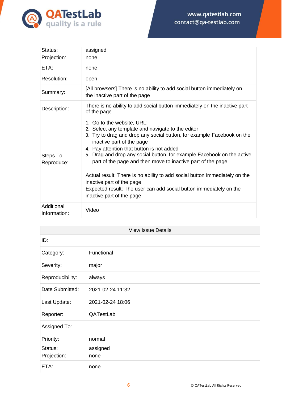

| Status:<br>Projection:     | assigned<br>none                                                                                                                                                                                                                                                                                                                                                                                                                                                                                                                                                                           |
|----------------------------|--------------------------------------------------------------------------------------------------------------------------------------------------------------------------------------------------------------------------------------------------------------------------------------------------------------------------------------------------------------------------------------------------------------------------------------------------------------------------------------------------------------------------------------------------------------------------------------------|
| ETA:                       | none                                                                                                                                                                                                                                                                                                                                                                                                                                                                                                                                                                                       |
| Resolution:                | open                                                                                                                                                                                                                                                                                                                                                                                                                                                                                                                                                                                       |
| Summary:                   | [All browsers] There is no ability to add social button immediately on<br>the inactive part of the page                                                                                                                                                                                                                                                                                                                                                                                                                                                                                    |
| Description:               | There is no ability to add social button immediately on the inactive part<br>of the page                                                                                                                                                                                                                                                                                                                                                                                                                                                                                                   |
| Steps To<br>Reproduce:     | 1. Go to the website, URL:<br>2. Select any template and navigate to the editor<br>3. Try to drag and drop any social button, for example Facebook on the<br>inactive part of the page<br>4. Pay attention that button is not added<br>5. Drag and drop any social button, for example Facebook on the active<br>part of the page and then move to inactive part of the page<br>Actual result: There is no ability to add social button immediately on the<br>inactive part of the page<br>Expected result: The user can add social button immediately on the<br>inactive part of the page |
| Additional<br>Information: | Video                                                                                                                                                                                                                                                                                                                                                                                                                                                                                                                                                                                      |

| <b>View Issue Details</b> |                  |
|---------------------------|------------------|
| ID:                       |                  |
| Category:                 | Functional       |
| Severity:                 | major            |
| Reproducibility:          | always           |
| Date Submitted:           | 2021-02-24 11:32 |
| Last Update:              | 2021-02-24 18:06 |
| Reporter:                 | QATestLab        |
| Assigned To:              |                  |
| Priority:                 | normal           |
| Status:<br>Projection:    | assigned<br>none |
| ETA:                      | none             |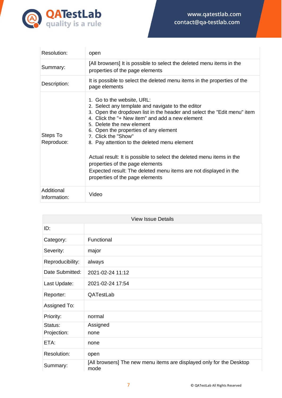

| Resolution:                | open                                                                                                                                                                                                                                                                                                                                                                                                                                                                                                                                                                          |
|----------------------------|-------------------------------------------------------------------------------------------------------------------------------------------------------------------------------------------------------------------------------------------------------------------------------------------------------------------------------------------------------------------------------------------------------------------------------------------------------------------------------------------------------------------------------------------------------------------------------|
| Summary:                   | [All browsers] It is possible to select the deleted menu items in the<br>properties of the page elements                                                                                                                                                                                                                                                                                                                                                                                                                                                                      |
| Description:               | It is possible to select the deleted menu items in the properties of the<br>page elements                                                                                                                                                                                                                                                                                                                                                                                                                                                                                     |
| Steps To<br>Reproduce:     | 1. Go to the website, URL:<br>2. Select any template and navigate to the editor<br>3. Open the dropdown list in the header and select the "Edit menu" item<br>4. Click the "+ New item" and add a new element<br>5. Delete the new element<br>6. Open the properties of any element<br>7. Click the "Show"<br>8. Pay attention to the deleted menu element<br>Actual result: It is possible to select the deleted menu items in the<br>properties of the page elements<br>Expected result: The deleted menu items are not displayed in the<br>properties of the page elements |
| Additional<br>Information: | Video                                                                                                                                                                                                                                                                                                                                                                                                                                                                                                                                                                         |

| <b>View Issue Details</b> |                                                                              |
|---------------------------|------------------------------------------------------------------------------|
| ID:                       |                                                                              |
| Category:                 | Functional                                                                   |
| Severity:                 | major                                                                        |
| Reproducibility:          | always                                                                       |
| Date Submitted:           | 2021-02-24 11:12                                                             |
| Last Update:              | 2021-02-24 17:54                                                             |
| Reporter:                 | QATestLab                                                                    |
| Assigned To:              |                                                                              |
| Priority:                 | normal                                                                       |
| Status:                   | Assigned                                                                     |
| Projection:               | none                                                                         |
| ETA:                      | none                                                                         |
| Resolution:               | open                                                                         |
| Summary:                  | [All browsers] The new menu items are displayed only for the Desktop<br>mode |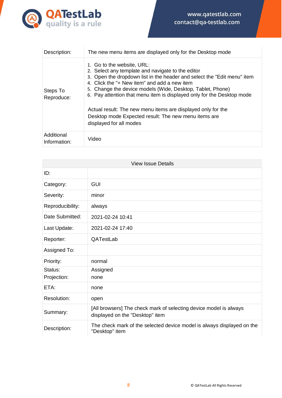

| Description:               | The new menu items are displayed only for the Desktop mode                                                                                                                                                                                                                                                                                                                                                                                                                                            |
|----------------------------|-------------------------------------------------------------------------------------------------------------------------------------------------------------------------------------------------------------------------------------------------------------------------------------------------------------------------------------------------------------------------------------------------------------------------------------------------------------------------------------------------------|
| Steps To<br>Reproduce:     | 1. Go to the website, URL:<br>2. Select any template and navigate to the editor<br>3. Open the dropdown list in the header and select the "Edit menu" item<br>4. Click the "+ New item" and add a new item<br>5. Change the device models (Wide, Desktop, Tablet, Phone)<br>6. Pay attention that menu item is displayed only for the Desktop mode<br>Actual result: The new menu items are displayed only for the<br>Desktop mode Expected result: The new menu items are<br>displayed for all modes |
| Additional<br>Information: | Video                                                                                                                                                                                                                                                                                                                                                                                                                                                                                                 |

| <b>View Issue Details</b> |                                                                                                      |
|---------------------------|------------------------------------------------------------------------------------------------------|
| ID:                       |                                                                                                      |
| Category:                 | <b>GUI</b>                                                                                           |
| Severity:                 | minor                                                                                                |
| Reproducibility:          | always                                                                                               |
| Date Submitted:           | 2021-02-24 10:41                                                                                     |
| Last Update:              | 2021-02-24 17:40                                                                                     |
| Reporter:                 | QATestLab                                                                                            |
| Assigned To:              |                                                                                                      |
| Priority:                 | normal                                                                                               |
| Status:<br>Projection:    | Assigned<br>none                                                                                     |
| ETA:                      | none                                                                                                 |
| Resolution:               | open                                                                                                 |
| Summary:                  | [All browsers] The check mark of selecting device model is always<br>displayed on the "Desktop" item |
| Description:              | The check mark of the selected device model is always displayed on the<br>"Desktop" item             |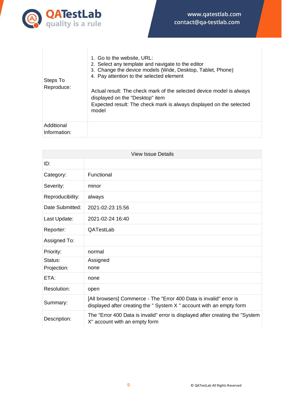

| Steps To<br>Reproduce:     | 1. Go to the website, URL:<br>2. Select any template and navigate to the editor<br>3. Change the device models (Wide, Desktop, Tablet, Phone)<br>4. Pay attention to the selected element |
|----------------------------|-------------------------------------------------------------------------------------------------------------------------------------------------------------------------------------------|
|                            | Actual result: The check mark of the selected device model is always<br>displayed on the "Desktop" item<br>Expected result: The check mark is always displayed on the selected<br>model   |
| Additional<br>Information: |                                                                                                                                                                                           |

| <b>View Issue Details</b> |                                                                                                                                          |
|---------------------------|------------------------------------------------------------------------------------------------------------------------------------------|
| ID:                       |                                                                                                                                          |
| Category:                 | Functional                                                                                                                               |
| Severity:                 | minor                                                                                                                                    |
| Reproducibility:          | always                                                                                                                                   |
| Date Submitted:           | 2021-02-23 15:56                                                                                                                         |
| Last Update:              | 2021-02-24 16:40                                                                                                                         |
| Reporter:                 | QATestLab                                                                                                                                |
| Assigned To:              |                                                                                                                                          |
| Priority:                 | normal                                                                                                                                   |
| Status:                   | Assigned                                                                                                                                 |
| Projection:               | none                                                                                                                                     |
| ETA:                      | none                                                                                                                                     |
| Resolution:               | open                                                                                                                                     |
| Summary:                  | [All browsers] Commerce - The "Error 400 Data is invalid" error is<br>displayed after creating the "System X" account with an empty form |
| Description:              | The "Error 400 Data is invalid" error is displayed after creating the "System"<br>X" account with an empty form                          |